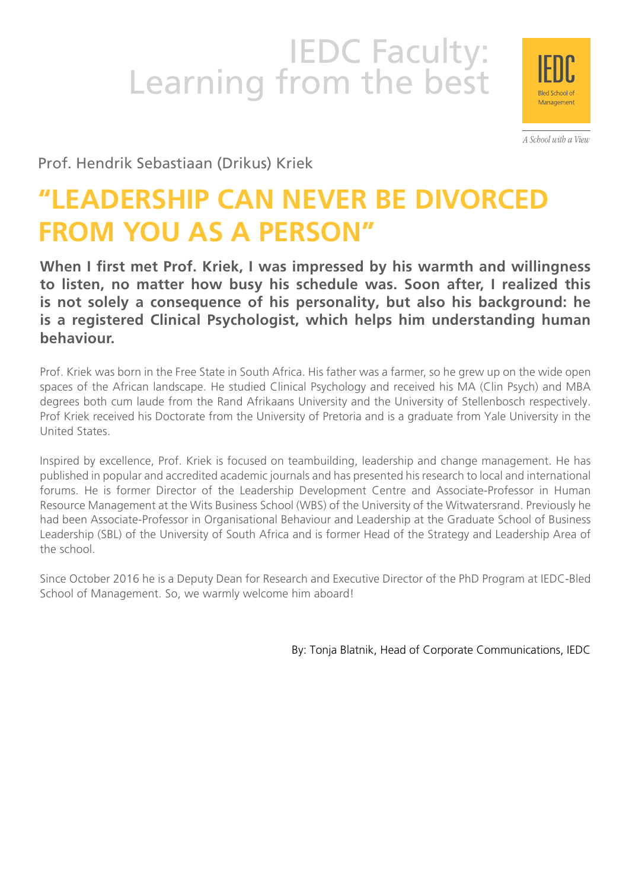# IEDC Faculty:<br>Learning from the best



A School with a View

Prof. Hendrik Sebastiaan (Drikus) Kriek

## **"LEADERSHIP CAN NEVER BE DIVORCED FROM YOU AS A PERSON"**

**When I first met Prof. Kriek, I was impressed by his warmth and willingness to listen, no matter how busy his schedule was. Soon after, I realized this is not solely a consequence of his personality, but also his background: he is a registered Clinical Psychologist, which helps him understanding human behaviour.** 

Prof. Kriek was born in the Free State in South Africa. His father was a farmer, so he grew up on the wide open spaces of the African landscape. He studied Clinical Psychology and received his MA (Clin Psych) and MBA degrees both cum laude from the Rand Afrikaans University and the University of Stellenbosch respectively. Prof Kriek received his Doctorate from the University of Pretoria and is a graduate from Yale University in the United States.

Inspired by excellence, Prof. Kriek is focused on teambuilding, leadership and change management. He has published in popular and accredited academic journals and has presented his research to local and international forums. He is former Director of the Leadership Development Centre and Associate-Professor in Human Resource Management at the Wits Business School (WBS) of the University of the Witwatersrand. Previously he had been Associate-Professor in Organisational Behaviour and Leadership at the Graduate School of Business Leadership (SBL) of the University of South Africa and is former Head of the Strategy and Leadership Area of the school.

Since October 2016 he is a Deputy Dean for Research and Executive Director of the PhD Program at IEDC-Bled School of Management. So, we warmly welcome him aboard!

By: Tonja Blatnik, Head of Corporate Communications, IEDC